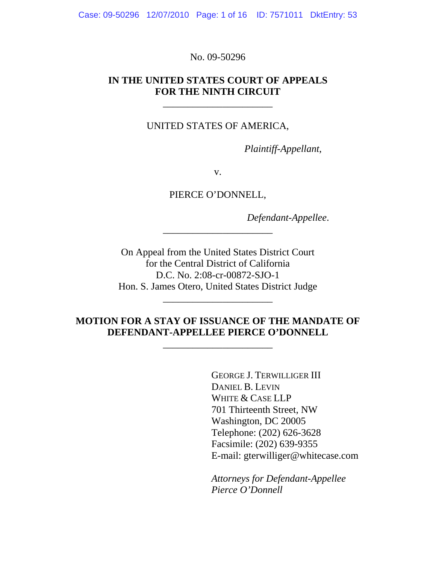Case: 09-50296 12/07/2010 Page: 1 of 16 ID: 7571011 DktEntry: 53

No. 09-50296

#### **IN THE UNITED STATES COURT OF APPEALS FOR THE NINTH CIRCUIT**

\_\_\_\_\_\_\_\_\_\_\_\_\_\_\_\_\_\_\_\_\_\_

UNITED STATES OF AMERICA,

 *Plaintiff-Appellant*,

v.

PIERCE O'DONNELL,

*Defendant-Appellee*.

On Appeal from the United States District Court for the Central District of California D.C. No. 2:08-cr-00872-SJO-1 Hon. S. James Otero, United States District Judge

\_\_\_\_\_\_\_\_\_\_\_\_\_\_\_\_\_\_\_\_\_\_

\_\_\_\_\_\_\_\_\_\_\_\_\_\_\_\_\_\_\_\_\_\_

### **MOTION FOR A STAY OF ISSUANCE OF THE MANDATE OF DEFENDANT-APPELLEE PIERCE O'DONNELL**

\_\_\_\_\_\_\_\_\_\_\_\_\_\_\_\_\_\_\_\_\_\_

 GEORGE J. TERWILLIGER III DANIEL B. LEVIN WHITE & CASE LLP 701 Thirteenth Street, NW Washington, DC 20005 Telephone: (202) 626-3628 Facsimile: (202) 639-9355 E-mail: gterwilliger@whitecase.com

 *Attorneys for Defendant-Appellee Pierce O'Donnell*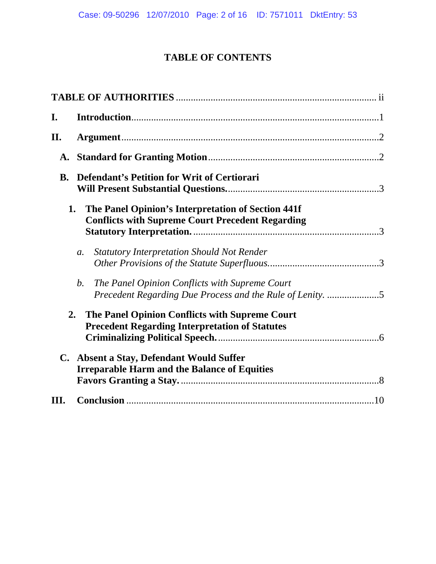# **TABLE OF CONTENTS**

| I.             |                                                                                                                   |  |
|----------------|-------------------------------------------------------------------------------------------------------------------|--|
| II.            |                                                                                                                   |  |
|                |                                                                                                                   |  |
|                | <b>B.</b> Defendant's Petition for Writ of Certiorari                                                             |  |
| 1.             | The Panel Opinion's Interpretation of Section 441f<br><b>Conflicts with Supreme Court Precedent Regarding</b>     |  |
|                | <b>Statutory Interpretation Should Not Render</b><br>$a$ .                                                        |  |
|                | b.<br>The Panel Opinion Conflicts with Supreme Court<br>Precedent Regarding Due Process and the Rule of Lenity. 5 |  |
| 2.             | The Panel Opinion Conflicts with Supreme Court<br><b>Precedent Regarding Interpretation of Statutes</b>           |  |
| $\mathbf{C}$ . | <b>Absent a Stay, Defendant Would Suffer</b><br><b>Irreparable Harm and the Balance of Equities</b>               |  |
| Ш.             |                                                                                                                   |  |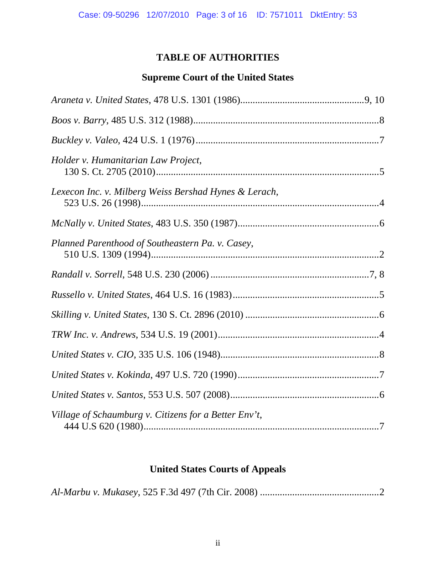# **TABLE OF AUTHORITIES**

# **Supreme Court of the United States**

| Holder v. Humanitarian Law Project,                   |  |
|-------------------------------------------------------|--|
| Lexecon Inc. v. Milberg Weiss Bershad Hynes & Lerach, |  |
|                                                       |  |
| Planned Parenthood of Southeastern Pa. v. Casey,      |  |
|                                                       |  |
|                                                       |  |
|                                                       |  |
|                                                       |  |
|                                                       |  |
|                                                       |  |
|                                                       |  |
| Village of Schaumburg v. Citizens for a Better Env't, |  |

# **United States Courts of Appeals**

|--|--|--|--|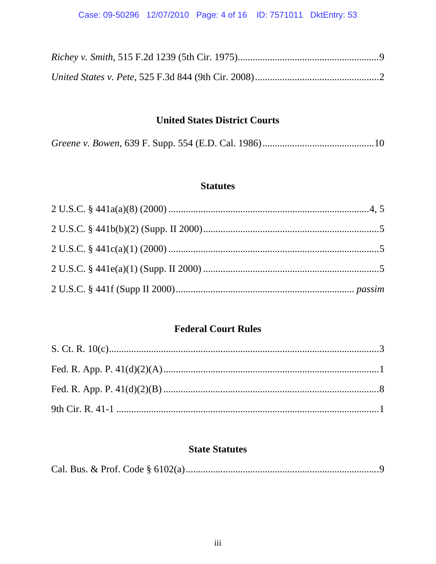# **United States District Courts**

# **Statutes**

# **Federal Court Rules**

# **State Statutes**

|--|--|--|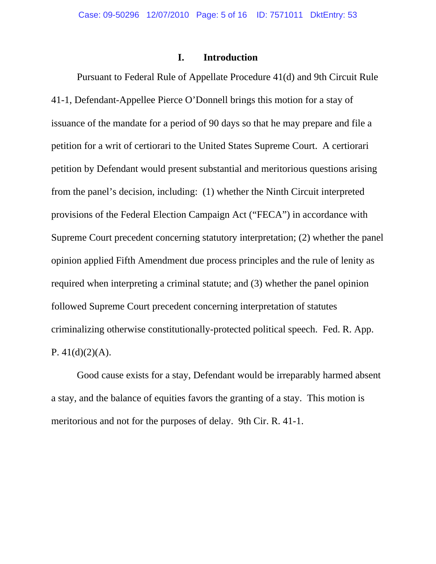#### **I. Introduction**

 Pursuant to Federal Rule of Appellate Procedure 41(d) and 9th Circuit Rule 41-1, Defendant-Appellee Pierce O'Donnell brings this motion for a stay of issuance of the mandate for a period of 90 days so that he may prepare and file a petition for a writ of certiorari to the United States Supreme Court. A certiorari petition by Defendant would present substantial and meritorious questions arising from the panel's decision, including: (1) whether the Ninth Circuit interpreted provisions of the Federal Election Campaign Act ("FECA") in accordance with Supreme Court precedent concerning statutory interpretation; (2) whether the panel opinion applied Fifth Amendment due process principles and the rule of lenity as required when interpreting a criminal statute; and (3) whether the panel opinion followed Supreme Court precedent concerning interpretation of statutes criminalizing otherwise constitutionally-protected political speech. Fed. R. App. P.  $41(d)(2)(A)$ .

 Good cause exists for a stay, Defendant would be irreparably harmed absent a stay, and the balance of equities favors the granting of a stay. This motion is meritorious and not for the purposes of delay. 9th Cir. R. 41-1.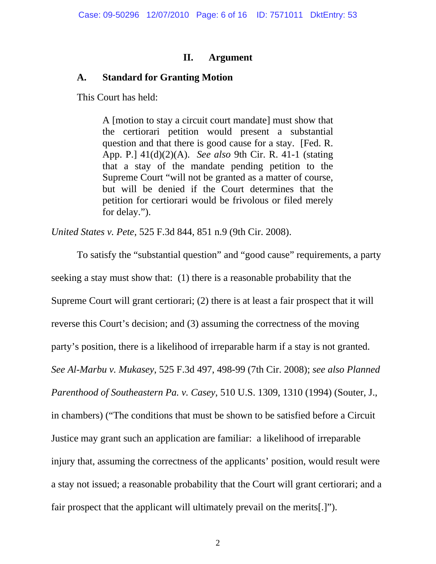#### **II. Argument**

### **A. Standard for Granting Motion**

This Court has held:

A [motion to stay a circuit court mandate] must show that the certiorari petition would present a substantial question and that there is good cause for a stay. [Fed. R. App. P.] 41(d)(2)(A). *See also* 9th Cir. R. 41-1 (stating that a stay of the mandate pending petition to the Supreme Court "will not be granted as a matter of course, but will be denied if the Court determines that the petition for certiorari would be frivolous or filed merely for delay.").

*United States v. Pete*, 525 F.3d 844, 851 n.9 (9th Cir. 2008).

 To satisfy the "substantial question" and "good cause" requirements, a party seeking a stay must show that: (1) there is a reasonable probability that the Supreme Court will grant certiorari; (2) there is at least a fair prospect that it will reverse this Court's decision; and (3) assuming the correctness of the moving party's position, there is a likelihood of irreparable harm if a stay is not granted. *See Al-Marbu v. Mukasey*, 525 F.3d 497, 498-99 (7th Cir. 2008); *see also Planned Parenthood of Southeastern Pa. v. Casey*, 510 U.S. 1309, 1310 (1994) (Souter, J., in chambers) ("The conditions that must be shown to be satisfied before a Circuit Justice may grant such an application are familiar: a likelihood of irreparable injury that, assuming the correctness of the applicants' position, would result were a stay not issued; a reasonable probability that the Court will grant certiorari; and a fair prospect that the applicant will ultimately prevail on the merits[.]").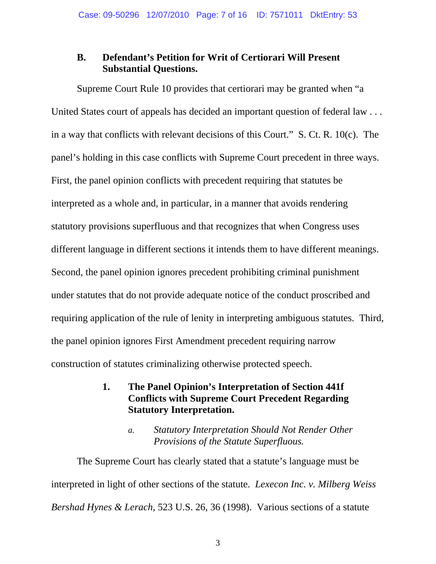# **B. Defendant's Petition for Writ of Certiorari Will Present Substantial Questions.**

 Supreme Court Rule 10 provides that certiorari may be granted when "a United States court of appeals has decided an important question of federal law . . . in a way that conflicts with relevant decisions of this Court." S. Ct. R. 10(c). The panel's holding in this case conflicts with Supreme Court precedent in three ways. First, the panel opinion conflicts with precedent requiring that statutes be interpreted as a whole and, in particular, in a manner that avoids rendering statutory provisions superfluous and that recognizes that when Congress uses different language in different sections it intends them to have different meanings. Second, the panel opinion ignores precedent prohibiting criminal punishment under statutes that do not provide adequate notice of the conduct proscribed and requiring application of the rule of lenity in interpreting ambiguous statutes. Third, the panel opinion ignores First Amendment precedent requiring narrow construction of statutes criminalizing otherwise protected speech.

# **1. The Panel Opinion's Interpretation of Section 441f Conflicts with Supreme Court Precedent Regarding Statutory Interpretation.**

#### *a. Statutory Interpretation Should Not Render Other Provisions of the Statute Superfluous.*

 The Supreme Court has clearly stated that a statute's language must be interpreted in light of other sections of the statute. *Lexecon Inc. v. Milberg Weiss Bershad Hynes & Lerach*, 523 U.S. 26, 36 (1998). Various sections of a statute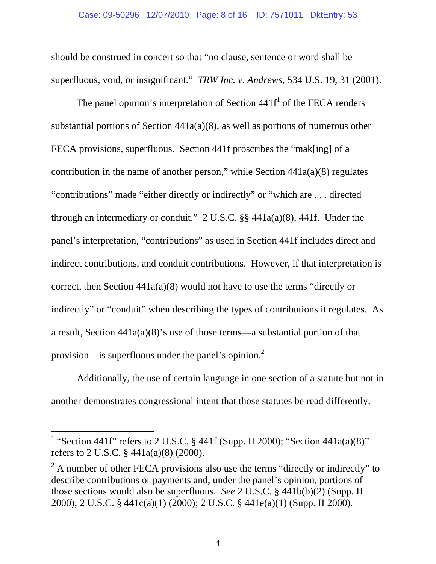should be construed in concert so that "no clause, sentence or word shall be superfluous, void, or insignificant." *TRW Inc. v. Andrews*, 534 U.S. 19, 31 (2001).

The panel opinion's interpretation of Section  $441f<sup>1</sup>$  of the FECA renders substantial portions of Section 441a(a)(8), as well as portions of numerous other FECA provisions, superfluous. Section 441f proscribes the "mak[ing] of a contribution in the name of another person," while Section  $441a(a)(8)$  regulates "contributions" made "either directly or indirectly" or "which are . . . directed through an intermediary or conduit." 2 U.S.C. §§ 441a(a)(8), 441f. Under the panel's interpretation, "contributions" as used in Section 441f includes direct and indirect contributions, and conduit contributions. However, if that interpretation is correct, then Section 441a(a)(8) would not have to use the terms "directly or indirectly" or "conduit" when describing the types of contributions it regulates. As a result, Section 441a(a)(8)'s use of those terms—a substantial portion of that provision—is superfluous under the panel's opinion.<sup>2</sup>

 Additionally, the use of certain language in one section of a statute but not in another demonstrates congressional intent that those statutes be read differently.

 $\overline{a}$ 

<sup>&</sup>lt;sup>1</sup> "Section 441f" refers to 2 U.S.C. § 441f (Supp. II 2000); "Section 441a(a)(8)" refers to 2 U.S.C. § 441a(a)(8) (2000).

 $2^2$  A number of other FECA provisions also use the terms "directly or indirectly" to describe contributions or payments and, under the panel's opinion, portions of those sections would also be superfluous. *See* 2 U.S.C. § 441b(b)(2) (Supp. II 2000); 2 U.S.C. § 441c(a)(1) (2000); 2 U.S.C. § 441e(a)(1) (Supp. II 2000).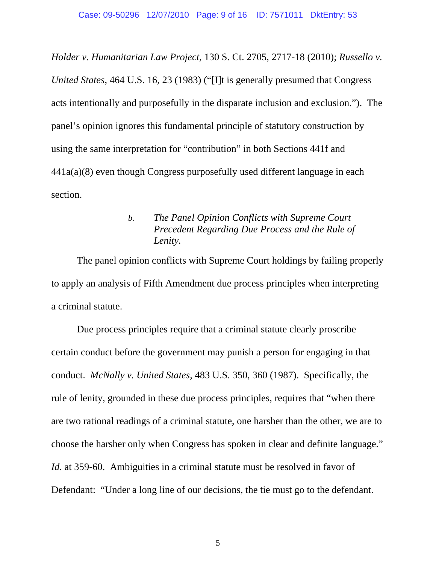*Holder v. Humanitarian Law Project*, 130 S. Ct. 2705, 2717-18 (2010); *Russello v. United States*, 464 U.S. 16, 23 (1983) ("[I]t is generally presumed that Congress acts intentionally and purposefully in the disparate inclusion and exclusion."). The panel's opinion ignores this fundamental principle of statutory construction by using the same interpretation for "contribution" in both Sections 441f and 441a(a)(8) even though Congress purposefully used different language in each section.

## *b. The Panel Opinion Conflicts with Supreme Court Precedent Regarding Due Process and the Rule of Lenity.*

 The panel opinion conflicts with Supreme Court holdings by failing properly to apply an analysis of Fifth Amendment due process principles when interpreting a criminal statute.

 Due process principles require that a criminal statute clearly proscribe certain conduct before the government may punish a person for engaging in that conduct. *McNally v. United States*, 483 U.S. 350, 360 (1987). Specifically, the rule of lenity, grounded in these due process principles, requires that "when there are two rational readings of a criminal statute, one harsher than the other, we are to choose the harsher only when Congress has spoken in clear and definite language." *Id.* at 359-60. Ambiguities in a criminal statute must be resolved in favor of Defendant: "Under a long line of our decisions, the tie must go to the defendant.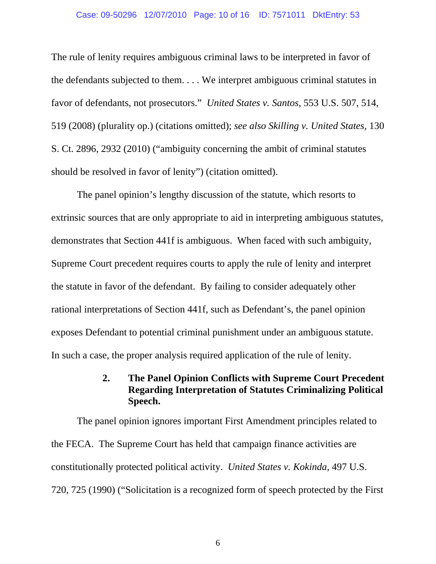#### Case: 09-50296 12/07/2010 Page: 10 of 16 ID: 7571011 DktEntry: 53

The rule of lenity requires ambiguous criminal laws to be interpreted in favor of the defendants subjected to them. . . . We interpret ambiguous criminal statutes in favor of defendants, not prosecutors." *United States v. Santos*, 553 U.S. 507, 514, 519 (2008) (plurality op.) (citations omitted); *see also Skilling v. United States*, 130 S. Ct. 2896, 2932 (2010) ("ambiguity concerning the ambit of criminal statutes should be resolved in favor of lenity") (citation omitted).

 The panel opinion's lengthy discussion of the statute, which resorts to extrinsic sources that are only appropriate to aid in interpreting ambiguous statutes, demonstrates that Section 441f is ambiguous. When faced with such ambiguity, Supreme Court precedent requires courts to apply the rule of lenity and interpret the statute in favor of the defendant. By failing to consider adequately other rational interpretations of Section 441f, such as Defendant's, the panel opinion exposes Defendant to potential criminal punishment under an ambiguous statute. In such a case, the proper analysis required application of the rule of lenity.

# **2. The Panel Opinion Conflicts with Supreme Court Precedent Regarding Interpretation of Statutes Criminalizing Political Speech.**

 The panel opinion ignores important First Amendment principles related to the FECA. The Supreme Court has held that campaign finance activities are constitutionally protected political activity. *United States v. Kokinda*, 497 U.S. 720, 725 (1990) ("Solicitation is a recognized form of speech protected by the First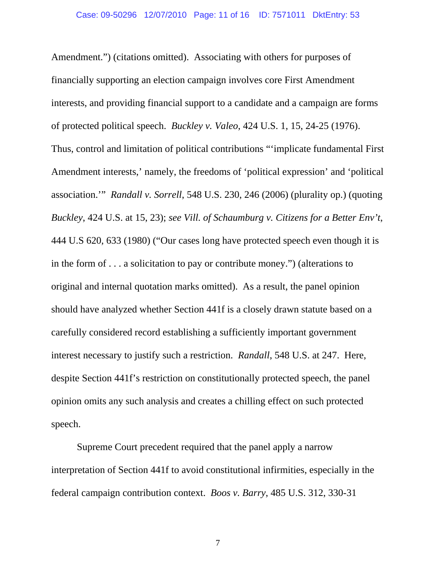Amendment.") (citations omitted). Associating with others for purposes of financially supporting an election campaign involves core First Amendment interests, and providing financial support to a candidate and a campaign are forms of protected political speech. *Buckley v. Valeo*, 424 U.S. 1, 15, 24-25 (1976). Thus, control and limitation of political contributions "'implicate fundamental First Amendment interests,' namely, the freedoms of 'political expression' and 'political association.'" *Randall v. Sorrell*, 548 U.S. 230, 246 (2006) (plurality op.) (quoting *Buckley*, 424 U.S. at 15, 23); *see Vill. of Schaumburg v. Citizens for a Better Env't*, 444 U.S 620, 633 (1980) ("Our cases long have protected speech even though it is in the form of . . . a solicitation to pay or contribute money.") (alterations to original and internal quotation marks omitted). As a result, the panel opinion should have analyzed whether Section 441f is a closely drawn statute based on a carefully considered record establishing a sufficiently important government interest necessary to justify such a restriction. *Randall*, 548 U.S. at 247. Here, despite Section 441f's restriction on constitutionally protected speech, the panel opinion omits any such analysis and creates a chilling effect on such protected speech.

 Supreme Court precedent required that the panel apply a narrow interpretation of Section 441f to avoid constitutional infirmities, especially in the federal campaign contribution context. *Boos v. Barry*, 485 U.S. 312, 330-31

7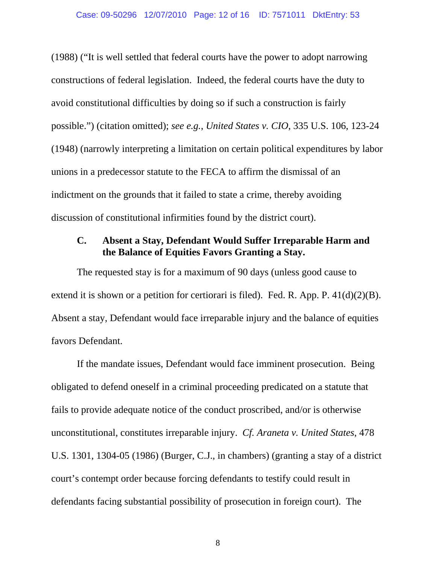#### Case: 09-50296 12/07/2010 Page: 12 of 16 ID: 7571011 DktEntry: 53

(1988) ("It is well settled that federal courts have the power to adopt narrowing constructions of federal legislation. Indeed, the federal courts have the duty to avoid constitutional difficulties by doing so if such a construction is fairly possible.") (citation omitted); *see e.g.*, *United States v. CIO*, 335 U.S. 106, 123-24 (1948) (narrowly interpreting a limitation on certain political expenditures by labor unions in a predecessor statute to the FECA to affirm the dismissal of an indictment on the grounds that it failed to state a crime, thereby avoiding discussion of constitutional infirmities found by the district court).

#### **C. Absent a Stay, Defendant Would Suffer Irreparable Harm and the Balance of Equities Favors Granting a Stay.**

 The requested stay is for a maximum of 90 days (unless good cause to extend it is shown or a petition for certiorari is filed). Fed. R. App. P.  $41(d)(2)(B)$ . Absent a stay, Defendant would face irreparable injury and the balance of equities favors Defendant.

 If the mandate issues, Defendant would face imminent prosecution. Being obligated to defend oneself in a criminal proceeding predicated on a statute that fails to provide adequate notice of the conduct proscribed, and/or is otherwise unconstitutional, constitutes irreparable injury. *Cf. Araneta v. United States*, 478 U.S. 1301, 1304-05 (1986) (Burger, C.J., in chambers) (granting a stay of a district court's contempt order because forcing defendants to testify could result in defendants facing substantial possibility of prosecution in foreign court). The

8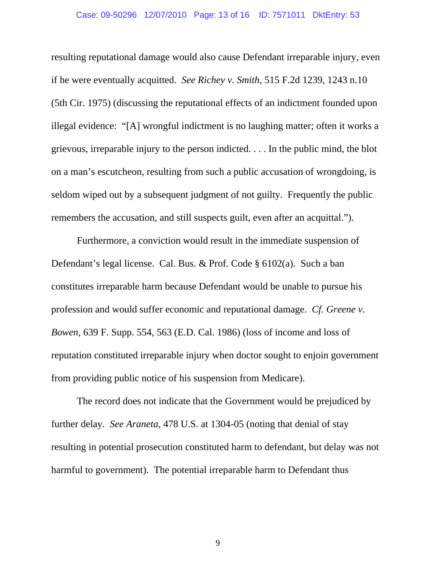#### Case: 09-50296 12/07/2010 Page: 13 of 16 ID: 7571011 DktEntry: 53

resulting reputational damage would also cause Defendant irreparable injury, even if he were eventually acquitted. *See Richey v. Smith*, 515 F.2d 1239, 1243 n.10 (5th Cir. 1975) (discussing the reputational effects of an indictment founded upon illegal evidence: "[A] wrongful indictment is no laughing matter; often it works a grievous, irreparable injury to the person indicted. . . . In the public mind, the blot on a man's escutcheon, resulting from such a public accusation of wrongdoing, is seldom wiped out by a subsequent judgment of not guilty. Frequently the public remembers the accusation, and still suspects guilt, even after an acquittal.").

 Furthermore, a conviction would result in the immediate suspension of Defendant's legal license. Cal. Bus. & Prof. Code § 6102(a). Such a ban constitutes irreparable harm because Defendant would be unable to pursue his profession and would suffer economic and reputational damage. *Cf. Greene v. Bowen*, 639 F. Supp. 554, 563 (E.D. Cal. 1986) (loss of income and loss of reputation constituted irreparable injury when doctor sought to enjoin government from providing public notice of his suspension from Medicare).

 The record does not indicate that the Government would be prejudiced by further delay. *See Araneta*, 478 U.S. at 1304-05 (noting that denial of stay resulting in potential prosecution constituted harm to defendant, but delay was not harmful to government). The potential irreparable harm to Defendant thus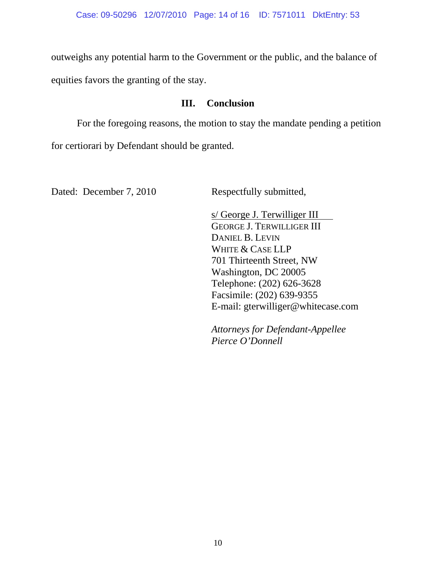outweighs any potential harm to the Government or the public, and the balance of equities favors the granting of the stay.

### **III. Conclusion**

 For the foregoing reasons, the motion to stay the mandate pending a petition for certiorari by Defendant should be granted.

Dated: December 7, 2010 Respectfully submitted,

 s/ George J. Terwilliger III GEORGE J. TERWILLIGER III DANIEL B. LEVIN WHITE & CASE LLP 701 Thirteenth Street, NW Washington, DC 20005 Telephone: (202) 626-3628 Facsimile: (202) 639-9355 E-mail: gterwilliger@whitecase.com

*Attorneys for Defendant-Appellee Pierce O'Donnell*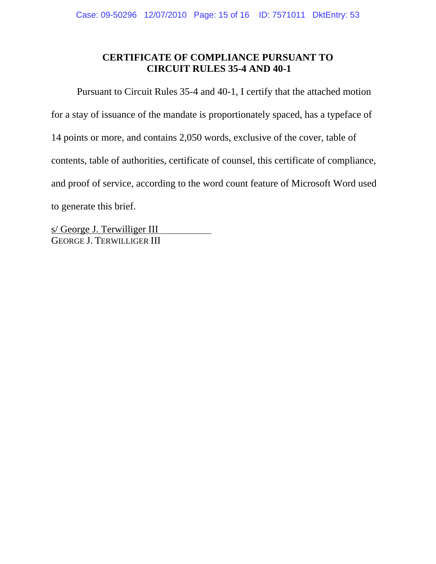## **CERTIFICATE OF COMPLIANCE PURSUANT TO CIRCUIT RULES 35-4 AND 40-1**

 Pursuant to Circuit Rules 35-4 and 40-1, I certify that the attached motion for a stay of issuance of the mandate is proportionately spaced, has a typeface of 14 points or more, and contains 2,050 words, exclusive of the cover, table of contents, table of authorities, certificate of counsel, this certificate of compliance, and proof of service, according to the word count feature of Microsoft Word used to generate this brief.

s/ George J. Terwilliger III GEORGE J. TERWILLIGER III